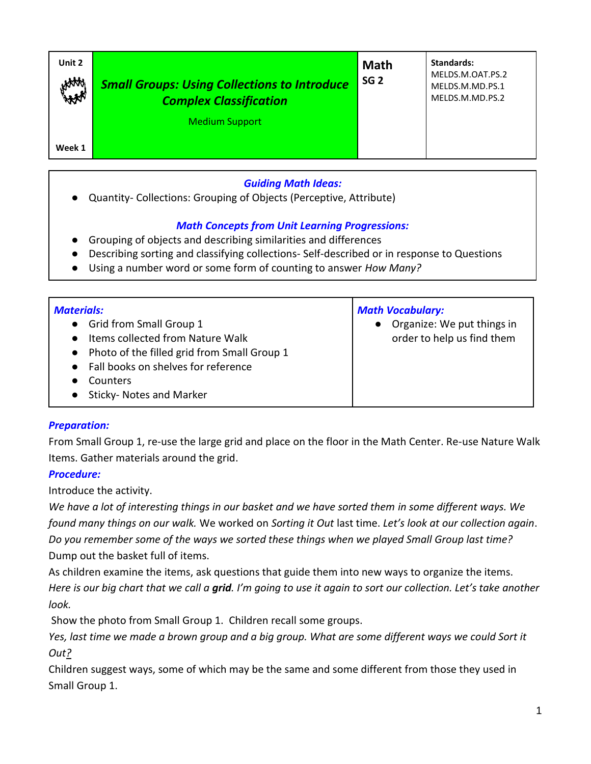| Unit 2<br>HAAA | <b>Small Groups: Using Collections to Introduce</b><br><b>Complex Classification</b> | <b>Math</b><br>SG <sub>2</sub> | Standards:<br>MELDS.M.OAT.PS.2<br>MELDS.M.MD.PS.1<br>MELDS.M.MD.PS.2 |
|----------------|--------------------------------------------------------------------------------------|--------------------------------|----------------------------------------------------------------------|
| Week 1         | <b>Medium Support</b>                                                                |                                |                                                                      |

### *Guiding Math Ideas:*

● Quantity- Collections: Grouping of Objects (Perceptive, Attribute)

## *Math Concepts from Unit Learning Progressions:*

- Grouping of objects and describing similarities and differences
- Describing sorting and classifying collections- Self-described or in response to Questions
- Using a number word or some form of counting to answer *How Many?*

| <b>Materials:</b><br><b>Grid from Small Group 1</b><br>$\bullet$<br>Items collected from Nature Walk<br>• Photo of the filled grid from Small Group 1<br>• Fall books on shelves for reference<br>Counters<br>Sticky- Notes and Marker | <b>Math Vocabulary:</b><br>Organize: We put things in<br>order to help us find them |
|----------------------------------------------------------------------------------------------------------------------------------------------------------------------------------------------------------------------------------------|-------------------------------------------------------------------------------------|
|----------------------------------------------------------------------------------------------------------------------------------------------------------------------------------------------------------------------------------------|-------------------------------------------------------------------------------------|

#### *Preparation:*

From Small Group 1, re-use the large grid and place on the floor in the Math Center. Re-use Nature Walk Items. Gather materials around the grid.

#### *Procedure:*

Introduce the activity.

*We have a lot of interesting things in our basket and we have sorted them in some different ways. We found many things on our walk.* We worked on *Sorting it Out* last time. *Let's look at our collection again*. *Do you remember some of the ways we sorted these things when we played Small Group last time?* Dump out the basket full of items.

As children examine the items, ask questions that guide them into new ways to organize the items. *Here is our big chart that we call a grid. I'm going to use it again to sort our collection. Let's take another look.* 

Show the photo from Small Group 1.Children recall some groups.

Yes, last time we made a brown group and a big group. What are some different ways we could Sort it *Out?* 

Children suggest ways, some of which may be the same and some different from those they used in Small Group 1.